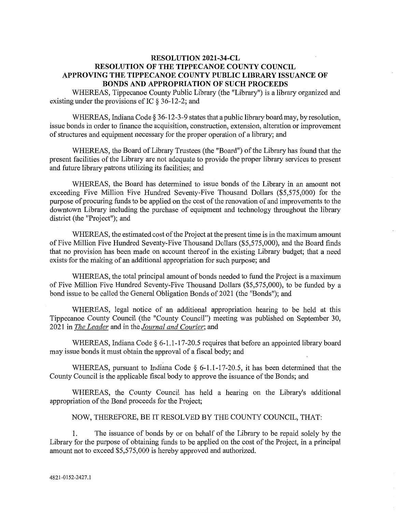## **RESOLUTION 2021—34-CL RESOLUTION OF THE TIPPECANOE COUNTY COUNCIL APPROVING** THE **TIPPECANOE COUNTY PUBLIC LIBRARY ISSUANCE** OF **BONDS** AND **APPROPRIATION** OF **SUCH PROCEEDS**

WHEREAS, Tippecanoe County Public Library (the "Library") is **a** library organized and existing under the provisions of IC § 36-12-2; and

WHEREAS, Indiana Code **§** 36-12-3-9 states that a public library board may, by resolution, issue bonds in order to finance the acquisition, construction, extension, **alteration** or improvement of **structures** and equipment necessary for the proper operation of a library; and

WHEREAS, the Board of Library Trustees (the "Board") of the Library has **found** that the present facilities of the Library are not adequate to provide the proper library services to present and **future** library patrons utilizing its facilities; and

WHEREAS, the Board has determined to issue bonds of the Library in an amount not exceeding Five Million Five Hundred Seventy-Five Thousand Dollars (\$5,575,000) for the purpose of procuring **funds** to be applied on the cost of the renovation of and improvements to the downtown Library including the purchase of equipment and technology throughout the library district (the "Project"); and

WHEREAS, the estimated **cost** of the Project at the present time is in the maximum amount of Five Million Five Hundred Seventy-Five Thousand Dollars (\$5,575,000), and the Board **finds**  that no provision has been made on account thereof in the existing Library budget; that a need exists-for the making of an additional appropriation for **such** purpose; and

WHEREAS, the total principal amount of bonds needed to fund the **Project** is a **maximum**  of Five Million Five Hundred Seventy-Five **Thousand** Dollars (\$5,575,000), to be **funded** by a bond issue to be called the General Obligation Bonds of 2021 (the "Bonds"); and

WHEREAS, legal notice of an additional appropriation hearing to be held at **this**  Tippecanoe County Council **(the** "County Council") meeting was **published** on September 30, **2021'** in *The'Leader* and in the *Journal* and *Courier;* and

WHEREAS, Indiana Code § 6-1.1-17-20.5 requires that before an appointed library board may issue bonds it must obtain the **approval** of a fiscal body; and

WHEREAS, pursuant to Indiana Code  $\S$  6-1.1-17-20.5, it has been determined that the County Council is the applicable fiscal body to approve the **issuance** of the Bonds; and

WHEREAS, the County Council has held a hearing on the Library's additional appropriation of the Bond proceeds for the **Project;** 

## NOW, THEREFORE, BE IT RESOLVED BY THE COUNTY COUNCIL, **THAT:**

1. The issuance of bonds by or on behalf of the Library to be repaid solely by the Library for the purpose of obtaining funds to be applied on the cost of the **Project,** in a **principal amount** not to exceed \$5,575,000 is hereby approved and authorized.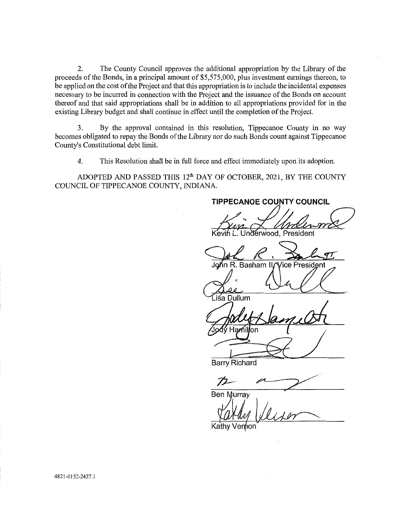2. The County Council approves the additional appropriation by the Library of the **proceeds** of the **Bonds,** in a **principal** amount of \$5,575,000, plus investment earnings thereon, to be applied on the cost of the Project and that this appropriation is to include the incidental expenses necessary to be incurred in connection with the Project and the issuance of the Bonds on account thereof and **that** said appropriations shall be in **addition** to all appropriations provided for in the existing Library budget and shall continue in effect until the completion of the Project.

3. By the approval contained in **this** resolution, Tippecanoe County in no way becomes obligated to repay the Bonds of the Library nor do **such** Bonds **count** against Tippecanoe County's Constitutional debt **limit.** 

4. **This** Resolution **shall** be in fi1ll force and effect immediately upon its **adoption.** 

**ADOPTED** AND **PASSED THIS** 12th DAY OF OCTOBER, 2021, BY THE COUNTY COUNCIL OF **TIPPECANOE** COUNTY, INDIANA. '

TIPPECANOE **COUNTY COUNCIL**  Jnderwood, President J n R. Basham *|* lgme **Presid** nt .iśa Dullum Hamil lon Barry Richard

72 Ben Murray

Ver<del>ሰ</del>on